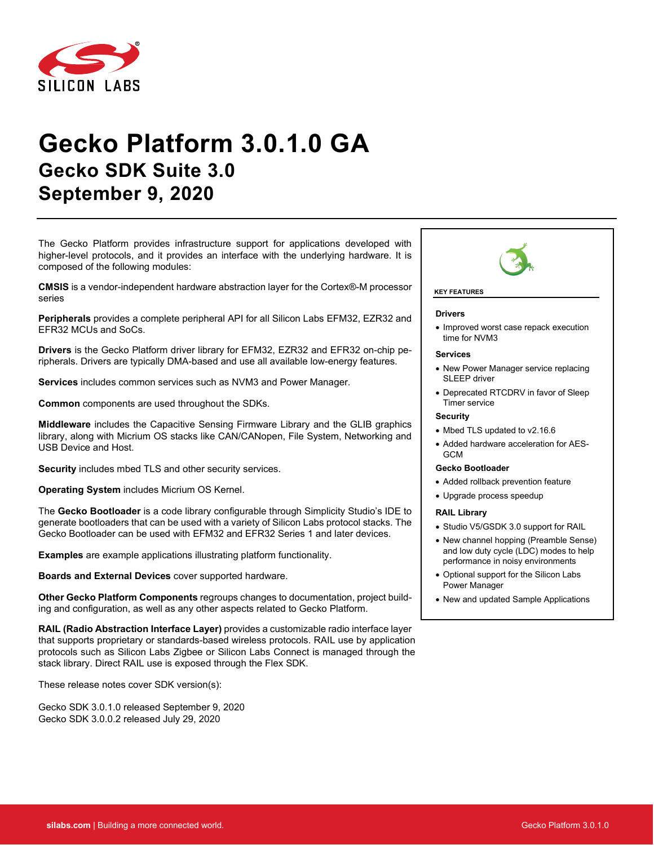

# **Gecko Platform 3.0.1.0 GA Gecko SDK Suite 3.0 September 9, 2020**

The Gecko Platform provides infrastructure support for applications developed with higher-level protocols, and it provides an interface with the underlying hardware. It is composed of the following modules:

**CMSIS** is a vendor-independent hardware abstraction layer for the Cortex®-M processor series

**Peripherals** provides a complete peripheral API for all Silicon Labs EFM32, EZR32 and EFR32 MCUs and SoCs.

**Drivers** is the Gecko Platform driver library for EFM32, EZR32 and EFR32 on-chip peripherals. Drivers are typically DMA-based and use all available low-energy features.

**Services** includes common services such as NVM3 and Power Manager.

**Common** components are used throughout the SDKs.

**Middleware** includes the Capacitive Sensing Firmware Library and the GLIB graphics library, along with Micrium OS stacks like CAN/CANopen, File System, Networking and USB Device and Host.

**Security** includes mbed TLS and other security services.

**Operating System** includes Micrium OS Kernel.

The **Gecko Bootloader** is a code library configurable through Simplicity Studio's IDE to generate bootloaders that can be used with a variety of Silicon Labs protocol stacks. The Gecko Bootloader can be used with EFM32 and EFR32 Series 1 and later devices.

**Examples** are example applications illustrating platform functionality.

**Boards and External Devices** cover supported hardware.

**Other Gecko Platform Components** regroups changes to documentation, project building and configuration, as well as any other aspects related to Gecko Platform.

**RAIL (Radio Abstraction Interface Layer)** provides a customizable radio interface layer that supports proprietary or standards-based wireless protocols. RAIL use by application protocols such as Silicon Labs Zigbee or Silicon Labs Connect is managed through the stack library. Direct RAIL use is exposed through the Flex SDK.

These release notes cover SDK version(s):

Gecko SDK 3.0.1.0 released September 9, 2020 Gecko SDK 3.0.0.2 released July 29, 2020



#### **KEY FEATURES**

#### **Drivers**

• Improved worst case repack execution time for NVM3

#### **Services**

- New Power Manager service replacing SLEEP driver
- Deprecated RTCDRV in favor of Sleep Timer service

#### **Security**

- Mbed TLS updated to v2.16.6
- Added hardware acceleration for AES-GCM

#### **Gecko Bootloader**

- Added rollback prevention feature
- Upgrade process speedup

#### **RAIL Library**

- Studio V5/GSDK 3.0 support for RAIL
- New channel hopping (Preamble Sense) and low duty cycle (LDC) modes to help performance in noisy environments
- Optional support for the Silicon Labs Power Manager
- New and updated Sample Applications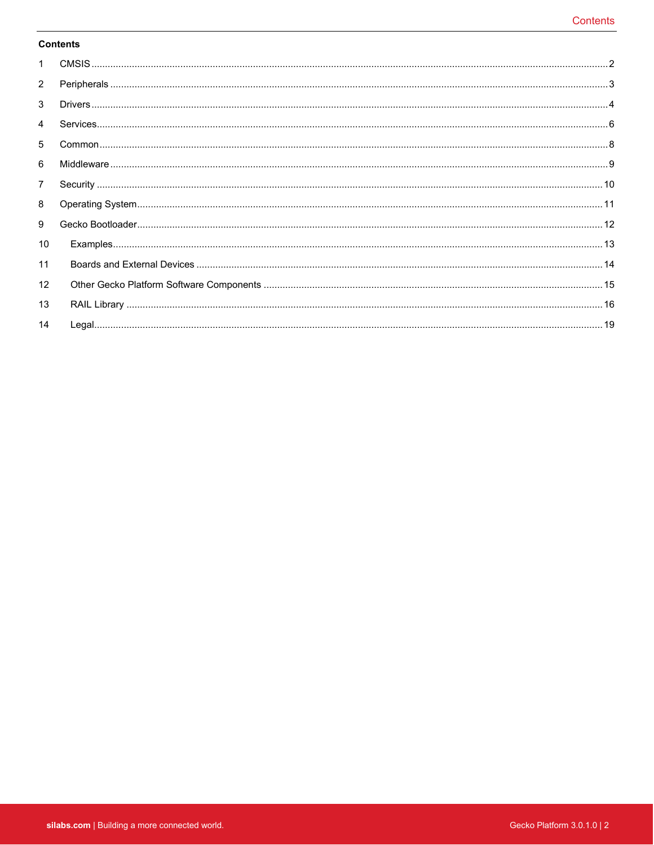### **Contents**

| $\mathbf{1}$      |  |
|-------------------|--|
| $\overline{2}$    |  |
| 3                 |  |
| 4                 |  |
| 5                 |  |
| 6                 |  |
| $\overline{7}$    |  |
| 8                 |  |
| 9                 |  |
| 10                |  |
| 11                |  |
| $12 \overline{ }$ |  |
| 13                |  |
| 14                |  |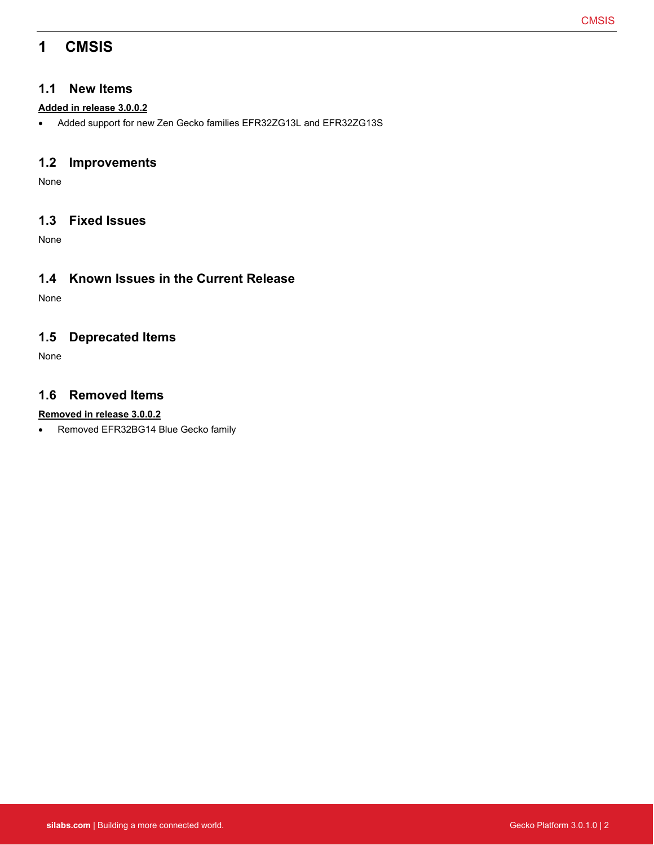# <span id="page-2-0"></span>**1 CMSIS**

### **1.1 New Items**

### **Added in release 3.0.0.2**

• Added support for new Zen Gecko families EFR32ZG13L and EFR32ZG13S

## **1.2 Improvements**

None

## **1.3 Fixed Issues**

None

## **1.4 Known Issues in the Current Release**

None

## **1.5 Deprecated Items**

None

## **1.6 Removed Items**

### **Removed in release 3.0.0.2**

• Removed EFR32BG14 Blue Gecko family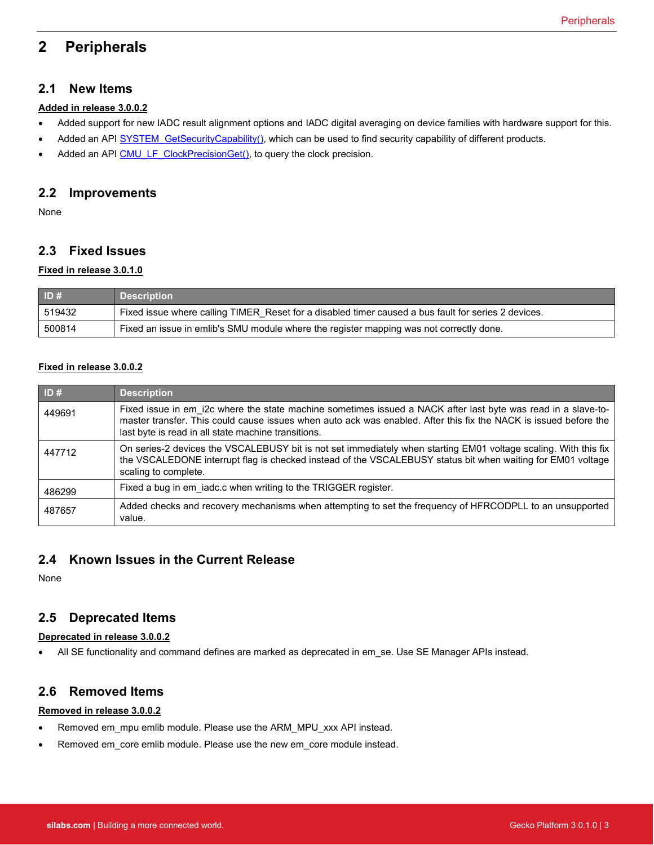# <span id="page-3-0"></span>**2 Peripherals**

### **2.1 New Items**

#### **Added in release 3.0.0.2**

- Added support for new IADC result alignment options and IADC digital averaging on device families with hardware support for this.
- Added an API SYSTEM GetSecurityCapability(), which can be used to find security capability of different products.
- Added an API [CMU\\_LF\\_ClockPrecisionGet\(\),](https://docs.silabs.com/gecko-platform/latest/emlib/api/efm32gg/group-cmu#gab7e78ce28916a3faba3c674a36eb12b1) to query the clock precision.

### **2.2 Improvements**

None

## **2.3 Fixed Issues**

### **Fixed in release 3.0.1.0**

| ID#    | <b>Description</b>                                                                                  |
|--------|-----------------------------------------------------------------------------------------------------|
| 519432 | Fixed issue where calling TIMER Reset for a disabled timer caused a bus fault for series 2 devices. |
| 500814 | Fixed an issue in emlib's SMU module where the register mapping was not correctly done.             |

### **Fixed in release 3.0.0.2**

| ID#    | <b>Description</b>                                                                                                                                                                                                                                                                       |
|--------|------------------------------------------------------------------------------------------------------------------------------------------------------------------------------------------------------------------------------------------------------------------------------------------|
| 449691 | Fixed issue in em i2c where the state machine sometimes issued a NACK after last byte was read in a slave-to-<br>master transfer. This could cause issues when auto ack was enabled. After this fix the NACK is issued before the<br>last byte is read in all state machine transitions. |
| 447712 | On series-2 devices the VSCALEBUSY bit is not set immediately when starting EM01 voltage scaling. With this fix<br>the VSCALEDONE interrupt flag is checked instead of the VSCALEBUSY status bit when waiting for EM01 voltage<br>scaling to complete.                                   |
| 486299 | Fixed a bug in em iadc.c when writing to the TRIGGER register.                                                                                                                                                                                                                           |
| 487657 | Added checks and recovery mechanisms when attempting to set the frequency of HFRCODPLL to an unsupported<br>value.                                                                                                                                                                       |

### **2.4 Known Issues in the Current Release**

None

### **2.5 Deprecated Items**

#### **Deprecated in release 3.0.0.2**

• All SE functionality and command defines are marked as deprecated in em\_se. Use SE Manager APIs instead.

### **2.6 Removed Items**

#### **Removed in release 3.0.0.2**

- Removed em\_mpu emlib module. Please use the ARM\_MPU\_xxx API instead.
- Removed em\_core emlib module. Please use the new em\_core module instead.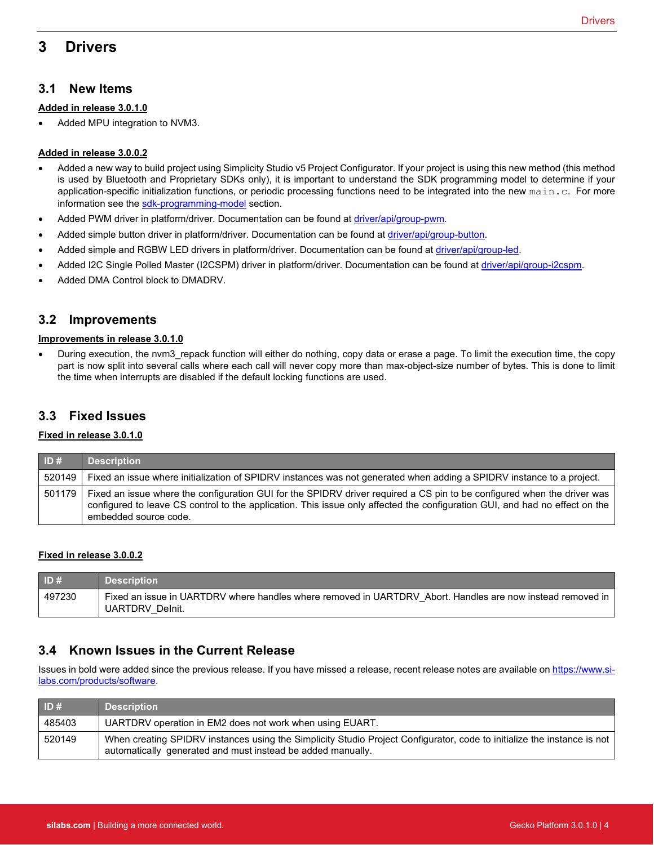# <span id="page-4-0"></span>**3 Drivers**

### **3.1 New Items**

#### **Added in release 3.0.1.0**

• Added MPU integration to NVM3.

#### **Added in release 3.0.0.2**

- Added a new way to build project using Simplicity Studio v5 Project Configurator. If your project is using this new method (this method is used by Bluetooth and Proprietary SDKs only), it is important to understand the SDK programming model to determine if your application-specific initialization functions, or periodic processing functions need to be integrated into the new main.c. For more information see the [sdk-programming-model](https://docs.silabs.com/gecko-platform/latest/sdk-programming-model) section.
- Added PWM driver in platform/driver. Documentation can be found at [driver/api/group-pwm.](https://docs.silabs.com/gecko-platform/latest/driver/api/group-pwm)
- Added simple button driver in platform/driver. Documentation can be found at [driver/api/group-button.](https://docs.silabs.com/gecko-platform/latest/driver/api/group-button)
- Added simple and RGBW LED drivers in platform/driver. Documentation can be found at *driver/api/group-led*.
- Added I2C Single Polled Master (I2CSPM) driver in platform/driver. Documentation can be found a[t driver/api/group-i2cspm.](https://docs.silabs.com/gecko-platform/latest/driver/api/group-i2cspm)
- Added DMA Control block to DMADRV.

### **3.2 Improvements**

#### **Improvements in release 3.0.1.0**

• During execution, the nvm3\_repack function will either do nothing, copy data or erase a page. To limit the execution time, the copy part is now split into several calls where each call will never copy more than max-object-size number of bytes. This is done to limit the time when interrupts are disabled if the default locking functions are used.

### **3.3 Fixed Issues**

#### **Fixed in release 3.0.1.0**

| ID#    | <b>Description</b>                                                                                                                                                                                                                                                              |
|--------|---------------------------------------------------------------------------------------------------------------------------------------------------------------------------------------------------------------------------------------------------------------------------------|
| 520149 | Fixed an issue where initialization of SPIDRV instances was not generated when adding a SPIDRV instance to a project.                                                                                                                                                           |
| 501179 | Fixed an issue where the configuration GUI for the SPIDRV driver required a CS pin to be configured when the driver was<br>configured to leave CS control to the application. This issue only affected the configuration GUI, and had no effect on the<br>embedded source code. |

#### **Fixed in release 3.0.0.2**

| ID#    | <b>Description</b>                                                                                                            |
|--------|-------------------------------------------------------------------------------------------------------------------------------|
| 497230 | Fixed an issue in UARTDRV where handles where removed in UARTDRV Abort. Handles are now instead removed in<br>UARTDRV Delnit. |

### **3.4 Known Issues in the Current Release**

Issues in bold were added since the previous release. If you have missed a release, recent release notes are available o[n https://www.si](https://www.silabs.com/products/software)[labs.com/products/software.](https://www.silabs.com/products/software)

| ID#    | <b>Description</b>                                                                                                                                                                     |
|--------|----------------------------------------------------------------------------------------------------------------------------------------------------------------------------------------|
| 485403 | UARTDRV operation in EM2 does not work when using EUART.                                                                                                                               |
| 520149 | When creating SPIDRV instances using the Simplicity Studio Project Configurator, code to initialize the instance is not<br>automatically generated and must instead be added manually. |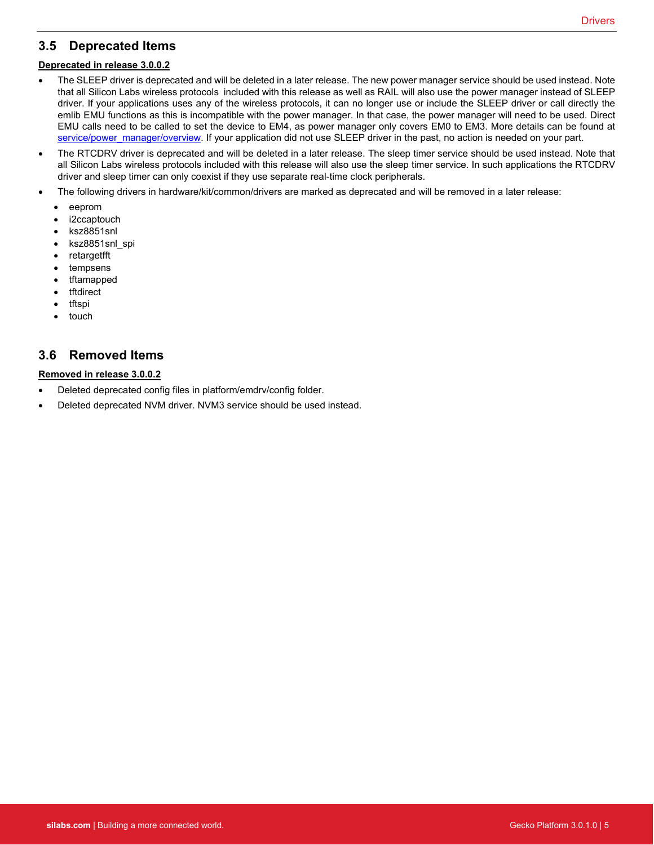## **3.5 Deprecated Items**

#### **Deprecated in release 3.0.0.2**

- The SLEEP driver is deprecated and will be deleted in a later release. The new power manager service should be used instead. Note that all Silicon Labs wireless protocols included with this release as well as RAIL will also use the power manager instead of SLEEP driver. If your applications uses any of the wireless protocols, it can no longer use or include the SLEEP driver or call directly the emlib EMU functions as this is incompatible with the power manager. In that case, the power manager will need to be used. Direct EMU calls need to be called to set the device to EM4, as power manager only covers EM0 to EM3. More details can be found at [service/power\\_manager/overview.](https://docs.silabs.com/gecko-platform/latest/service/power_manager/overview) If your application did not use SLEEP driver in the past, no action is needed on your part.
- The RTCDRV driver is deprecated and will be deleted in a later release. The sleep timer service should be used instead. Note that all Silicon Labs wireless protocols included with this release will also use the sleep timer service. In such applications the RTCDRV driver and sleep timer can only coexist if they use separate real-time clock peripherals.
- The following drivers in hardware/kit/common/drivers are marked as deprecated and will be removed in a later release:
	- eeprom
	- i2ccaptouch
	- ksz8851snl
	- ksz8851snl\_spi
	- retargetfft
	- tempsens
	- tftamapped
	- **tftdirect**
	- tftspi
	- touch

## **3.6 Removed Items**

#### **Removed in release 3.0.0.2**

- Deleted deprecated config files in platform/emdrv/config folder.
- Deleted deprecated NVM driver. NVM3 service should be used instead.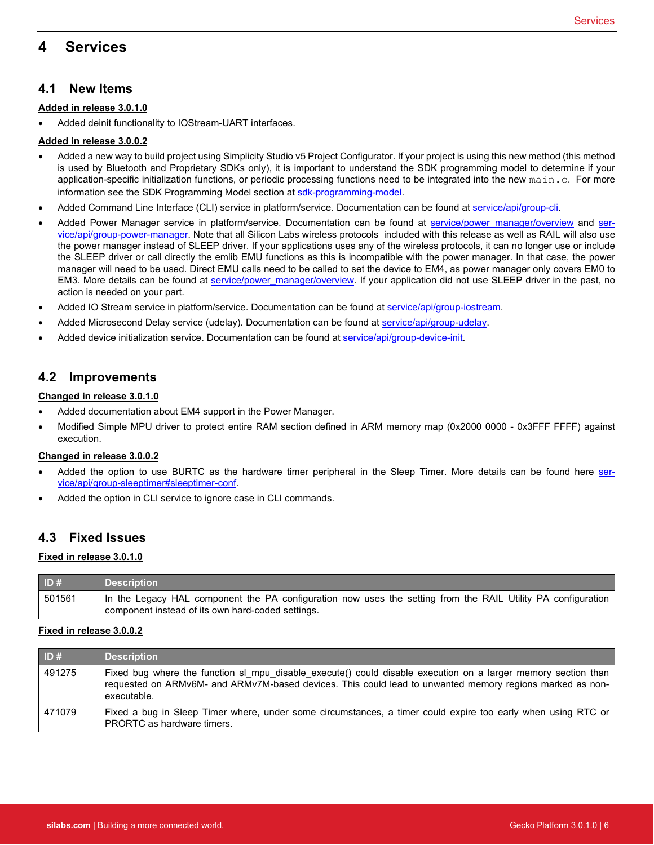# <span id="page-6-0"></span>**4 Services**

#### **Added in release 3.0.1.0**

• Added deinit functionality to IOStream-UART interfaces.

#### **Added in release 3.0.0.2**

- Added a new way to build project using Simplicity Studio v5 Project Configurator. If your project is using this new method (this method is used by Bluetooth and Proprietary SDKs only), it is important to understand the SDK programming model to determine if your application-specific initialization functions, or periodic processing functions need to be integrated into the new main.c. For more information see the SDK Programming Model section a[t sdk-programming-model.](https://docs.silabs.com/gecko-platform/latest/sdk-programming-model)
- Added Command Line Interface (CLI) service in platform/service. Documentation can be found a[t service/api/group-cli.](https://docs.silabs.com/gecko-platform/latest/service/api/group-cli)
- Added Power Manager service in platform/service. Documentation can be found at [service/power\\_manager/overview](https://docs.silabs.com/gecko-platform/latest/service/power_manager/overview) and [ser](https://docs.silabs.com/gecko-platform/latest/service/api/group-power-manager)[vice/api/group-power-manager.](https://docs.silabs.com/gecko-platform/latest/service/api/group-power-manager) Note that all Silicon Labs wireless protocols included with this release as well as RAIL will also use the power manager instead of SLEEP driver. If your applications uses any of the wireless protocols, it can no longer use or include the SLEEP driver or call directly the emlib EMU functions as this is incompatible with the power manager. In that case, the power manager will need to be used. Direct EMU calls need to be called to set the device to EM4, as power manager only covers EM0 to EM3. More details can be found at [service/power\\_manager/overview.](https://docs.silabs.com/gecko-platform/latest/service/power_manager/overview) If your application did not use SLEEP driver in the past, no action is needed on your part.
- Added IO Stream service in platform/service. Documentation can be found a[t service/api/group-iostream.](https://docs.silabs.com/gecko-platform/latest/service/api/group-iostream)
- Added Microsecond Delay service (udelay). Documentation can be found a[t service/api/group-udelay.](https://docs.silabs.com/gecko-platform/latest/service/api/group-udelay)
- Added device initialization service. Documentation can be found at [service/api/group-device-init.](https://docs.silabs.com/gecko-platform/latest/service/api/group-device-init)

### **4.2 Improvements**

#### **Changed in release 3.0.1.0**

- Added documentation about EM4 support in the Power Manager.
- Modified Simple MPU driver to protect entire RAM section defined in ARM memory map (0x2000 0000 0x3FFF FFFF) against execution.

#### **Changed in release 3.0.0.2**

- Added the option to use BURTC as the hardware timer peripheral in the Sleep Timer. More details can be found here [ser](https://docs.silabs.com/gecko-platform/latest/service/api/group-sleeptimer#sleeptimer-conf)[vice/api/group-sleeptimer#sleeptimer-conf.](https://docs.silabs.com/gecko-platform/latest/service/api/group-sleeptimer#sleeptimer-conf)
- Added the option in CLI service to ignore case in CLI commands.

### **4.3 Fixed Issues**

#### **Fixed in release 3.0.1.0**

| ID#    | <b>Description</b>                                                                                                                                                |
|--------|-------------------------------------------------------------------------------------------------------------------------------------------------------------------|
| 501561 | In the Legacy HAL component the PA configuration now uses the setting from the RAIL Utility PA configuration<br>component instead of its own hard-coded settings. |

#### **Fixed in release 3.0.0.2**

| ID#    | <b>Description</b>                                                                                                                                                                                                                       |
|--------|------------------------------------------------------------------------------------------------------------------------------------------------------------------------------------------------------------------------------------------|
| 491275 | Fixed bug where the function sl mpu disable execute() could disable execution on a larger memory section than<br>requested on ARMv6M- and ARMv7M-based devices. This could lead to unwanted memory regions marked as non-<br>executable. |
| 471079 | Fixed a bug in Sleep Timer where, under some circumstances, a timer could expire too early when using RTC or<br>PRORTC as hardware timers.                                                                                               |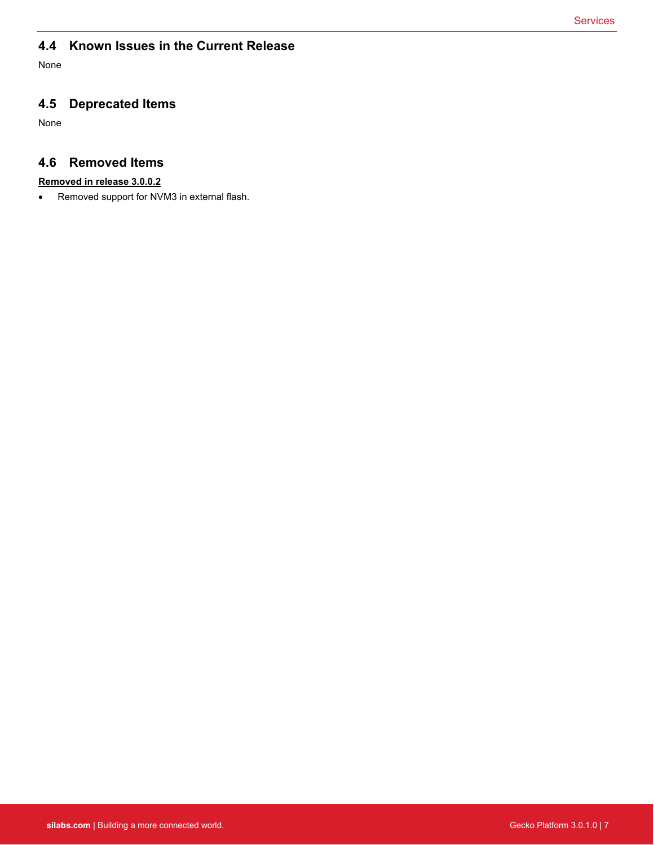# **4.4 Known Issues in the Current Release**

None

## **4.5 Deprecated Items**

None

## **4.6 Removed Items**

#### **Removed in release 3.0.0.2**

• Removed support for NVM3 in external flash.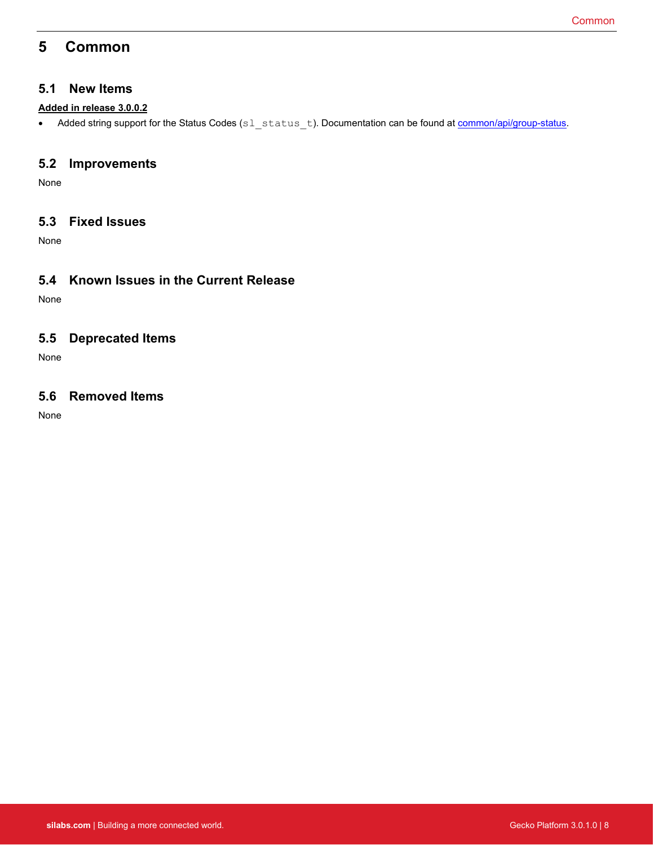# <span id="page-8-0"></span>**5 Common**

### **5.1 New Items**

#### **Added in release 3.0.0.2**

• Added string support for the Status Codes (sl\_status\_t). Documentation can be found at **common/api/group-status**.

### **5.2 Improvements**

None

## **5.3 Fixed Issues**

None

## **5.4 Known Issues in the Current Release**

None

## **5.5 Deprecated Items**

None

## **5.6 Removed Items**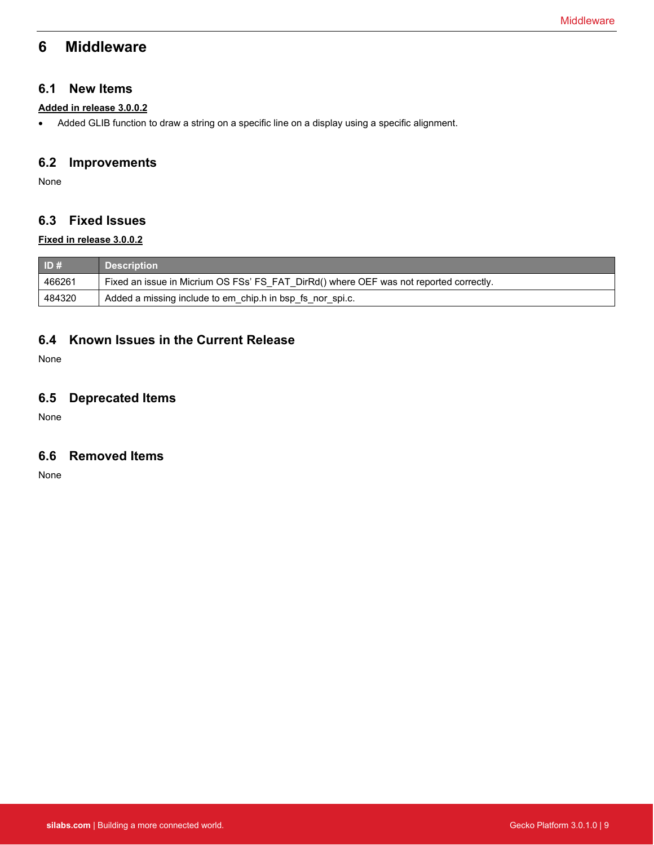# <span id="page-9-0"></span>**6 Middleware**

### **6.1 New Items**

### **Added in release 3.0.0.2**

• Added GLIB function to draw a string on a specific line on a display using a specific alignment.

## **6.2 Improvements**

None

## **6.3 Fixed Issues**

#### **Fixed in release 3.0.0.2**

| ID#    | <b>Description</b>                                                                     |
|--------|----------------------------------------------------------------------------------------|
| 466261 | Fixed an issue in Micrium OS FSs' FS_FAT_DirRd() where OEF was not reported correctly. |
| 484320 | Added a missing include to em_chip.h in bsp_fs_nor_spi.c.                              |

## **6.4 Known Issues in the Current Release**

None

## **6.5 Deprecated Items**

None

## **6.6 Removed Items**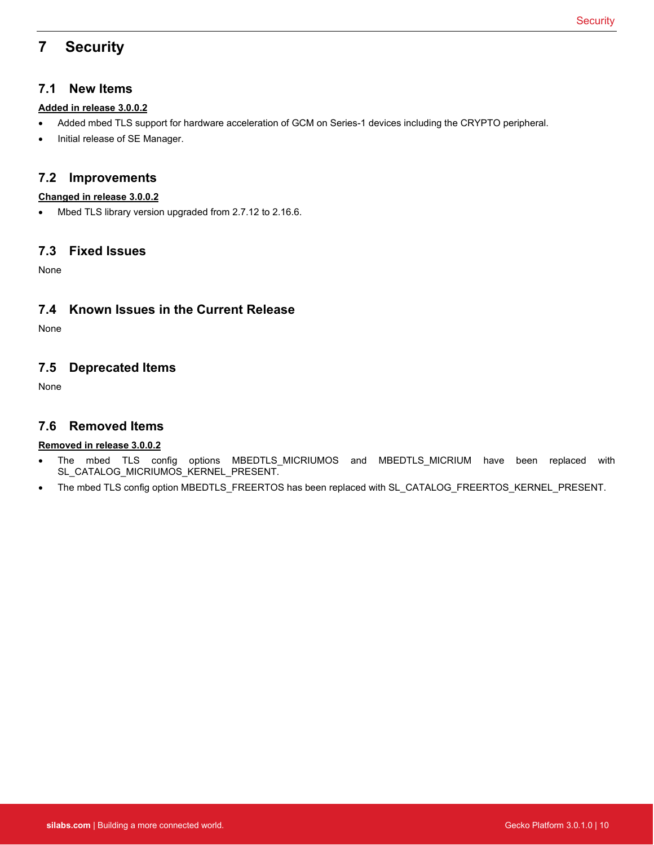# <span id="page-10-0"></span>**7 Security**

## **7.1 New Items**

### **Added in release 3.0.0.2**

- Added mbed TLS support for hardware acceleration of GCM on Series-1 devices including the CRYPTO peripheral.
- Initial release of SE Manager.

## **7.2 Improvements**

#### **Changed in release 3.0.0.2**

• Mbed TLS library version upgraded from 2.7.12 to 2.16.6.

### **7.3 Fixed Issues**

None

## **7.4 Known Issues in the Current Release**

None

## **7.5 Deprecated Items**

None

## **7.6 Removed Items**

### **Removed in release 3.0.0.2**

- The mbed TLS config options MBEDTLS\_MICRIUMOS and MBEDTLS\_MICRIUM have been replaced with SL\_CATALOG\_MICRIUMOS\_KERNEL\_PRESENT.
- The mbed TLS config option MBEDTLS\_FREERTOS has been replaced with SL\_CATALOG\_FREERTOS\_KERNEL\_PRESENT.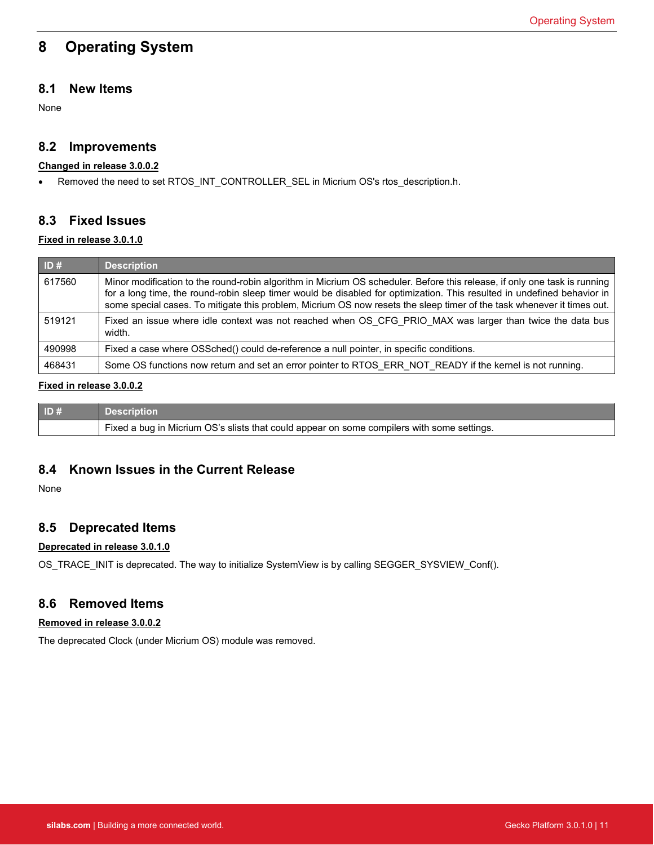# <span id="page-11-0"></span>**8 Operating System**

## **8.1 New Items**

None

## **8.2 Improvements**

#### **Changed in release 3.0.0.2**

• Removed the need to set RTOS\_INT\_CONTROLLER\_SEL in Micrium OS's rtos\_description.h.

## **8.3 Fixed Issues**

#### **Fixed in release 3.0.1.0**

| ID#    | <b>Description</b>                                                                                                                                                                                                                                                                                                                                                             |
|--------|--------------------------------------------------------------------------------------------------------------------------------------------------------------------------------------------------------------------------------------------------------------------------------------------------------------------------------------------------------------------------------|
| 617560 | Minor modification to the round-robin algorithm in Micrium OS scheduler. Before this release, if only one task is running<br>for a long time, the round-robin sleep timer would be disabled for optimization. This resulted in undefined behavior in<br>some special cases. To mitigate this problem, Micrium OS now resets the sleep timer of the task whenever it times out. |
| 519121 | Fixed an issue where idle context was not reached when OS CFG PRIO MAX was larger than twice the data bus<br>width.                                                                                                                                                                                                                                                            |
| 490998 | Fixed a case where OSSched() could de-reference a null pointer, in specific conditions.                                                                                                                                                                                                                                                                                        |
| 468431 | Some OS functions now return and set an error pointer to RTOS ERR NOT READY if the kernel is not running.                                                                                                                                                                                                                                                                      |

### **Fixed in release 3.0.0.2**

| ID# | <b>Description</b>                                                                                      |
|-----|---------------------------------------------------------------------------------------------------------|
|     | <sub>1</sub> Fixed a bug in Micrium OS's slists that could appear on some compilers with some settings. |

## **8.4 Known Issues in the Current Release**

None

### **8.5 Deprecated Items**

#### **Deprecated in release 3.0.1.0**

OS\_TRACE\_INIT is deprecated. The way to initialize SystemView is by calling SEGGER\_SYSVIEW\_Conf().

### **8.6 Removed Items**

#### **Removed in release 3.0.0.2**

The deprecated Clock (under Micrium OS) module was removed.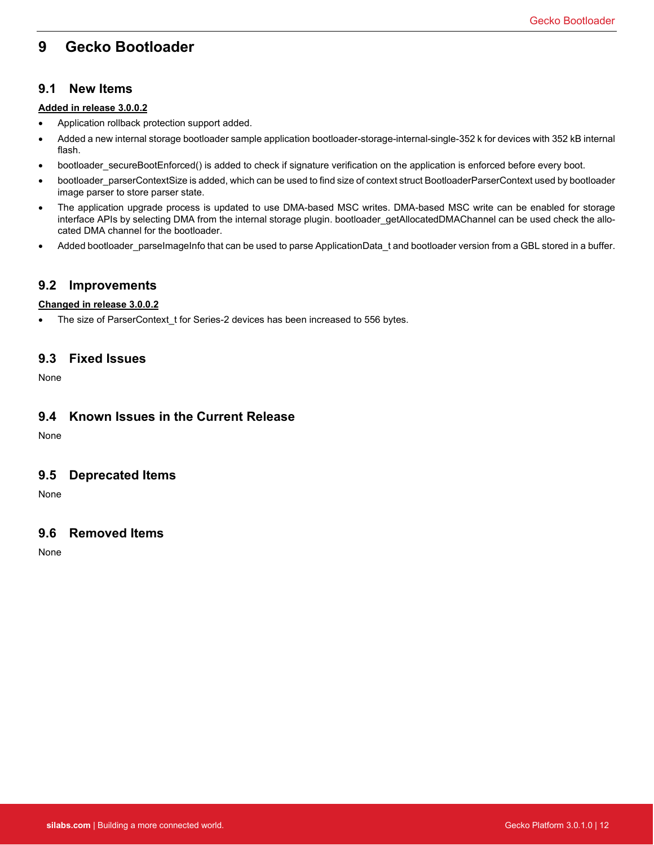# <span id="page-12-0"></span>**9 Gecko Bootloader**

### **9.1 New Items**

#### **Added in release 3.0.0.2**

- Application rollback protection support added.
- Added a new internal storage bootloader sample application bootloader-storage-internal-single-352 k for devices with 352 kB internal flash.
- bootloader\_secureBootEnforced() is added to check if signature verification on the application is enforced before every boot.
- bootloader\_parserContextSize is added, which can be used to find size of context struct BootloaderParserContext used by bootloader image parser to store parser state.
- The application upgrade process is updated to use DMA-based MSC writes. DMA-based MSC write can be enabled for storage interface APIs by selecting DMA from the internal storage plugin. bootloader\_getAllocatedDMAChannel can be used check the allocated DMA channel for the bootloader.
- Added bootloader\_parseImageInfo that can be used to parse ApplicationData\_t and bootloader version from a GBL stored in a buffer.

### **9.2 Improvements**

#### **Changed in release 3.0.0.2**

• The size of ParserContext\_t for Series-2 devices has been increased to 556 bytes.

### **9.3 Fixed Issues**

None

### **9.4 Known Issues in the Current Release**

None

### **9.5 Deprecated Items**

None

### **9.6 Removed Items**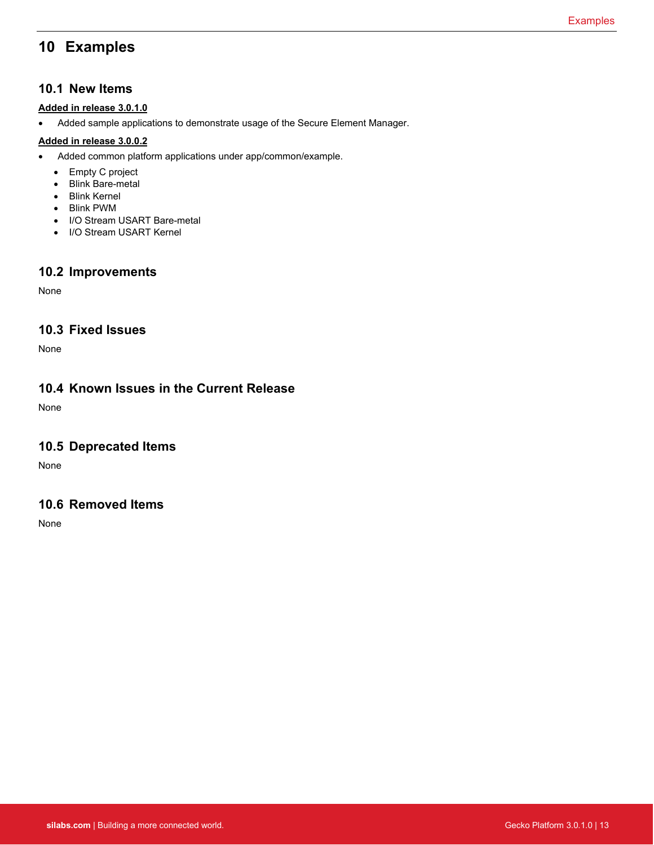# <span id="page-13-0"></span>**10 Examples**

### **10.1 New Items**

#### **Added in release 3.0.1.0**

• Added sample applications to demonstrate usage of the Secure Element Manager.

### **Added in release 3.0.0.2**

- Added common platform applications under app/common/example.
	- Empty C project
	- Blink Bare-metal
	- Blink Kernel
	- Blink PWM
	- I/O Stream USART Bare-metal
	- I/O Stream USART Kernel

## **10.2 Improvements**

None

## **10.3 Fixed Issues**

None

### **10.4 Known Issues in the Current Release**

None

### **10.5 Deprecated Items**

None

## **10.6 Removed Items**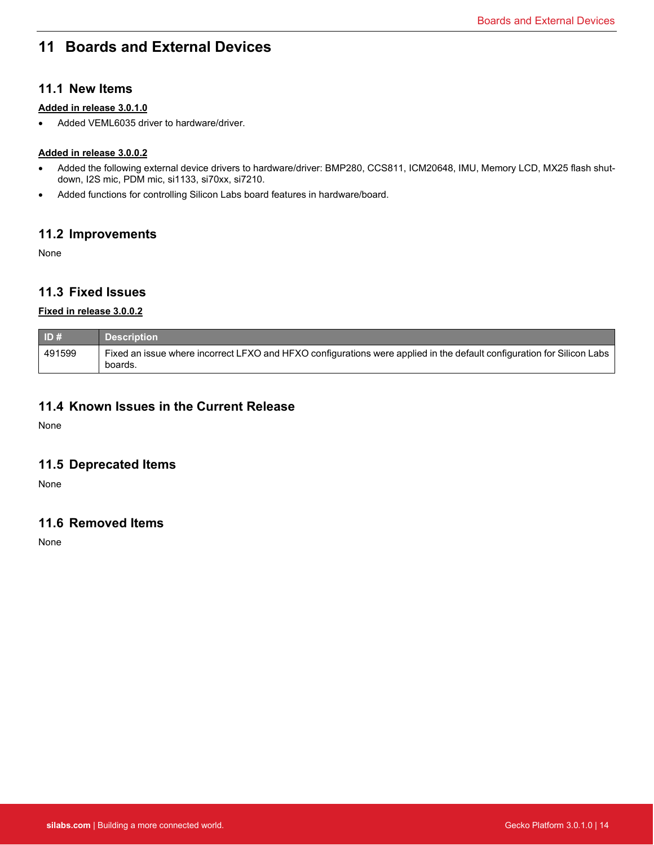# <span id="page-14-0"></span>**11 Boards and External Devices**

### **11.1 New Items**

#### **Added in release 3.0.1.0**

• Added VEML6035 driver to hardware/driver.

### **Added in release 3.0.0.2**

- Added the following external device drivers to hardware/driver: BMP280, CCS811, ICM20648, IMU, Memory LCD, MX25 flash shutdown, I2S mic, PDM mic, si1133, si70xx, si7210.
- Added functions for controlling Silicon Labs board features in hardware/board.

### **11.2 Improvements**

None

### **11.3 Fixed Issues**

#### **Fixed in release 3.0.0.2**

| ID#    | <b>Description</b>                                                                                                                |
|--------|-----------------------------------------------------------------------------------------------------------------------------------|
| 491599 | Fixed an issue where incorrect LFXO and HFXO configurations were applied in the default configuration for Silicon Labs<br>boards. |

### **11.4 Known Issues in the Current Release**

None

### **11.5 Deprecated Items**

None

## **11.6 Removed Items**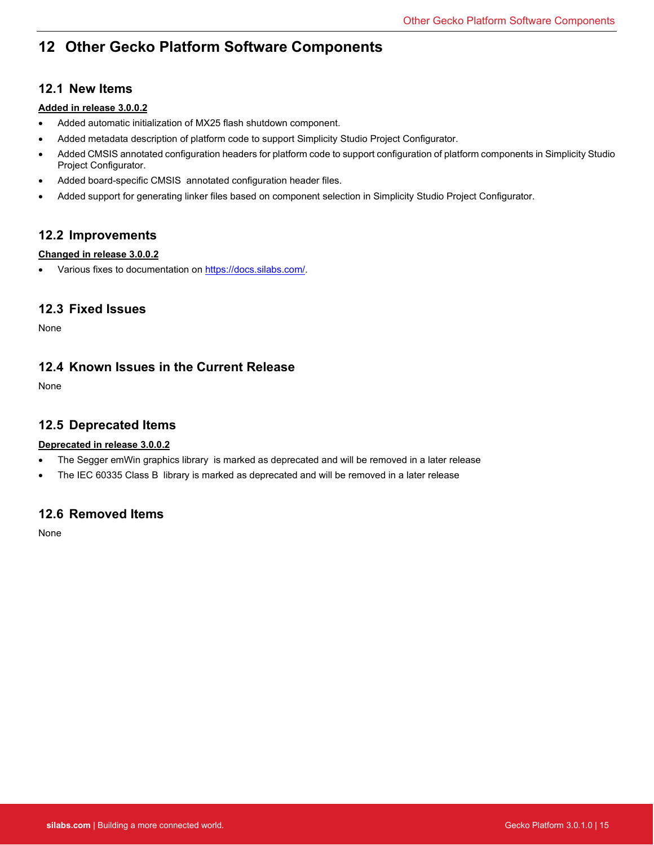# <span id="page-15-0"></span>**12 Other Gecko Platform Software Components**

## **12.1 New Items**

### **Added in release 3.0.0.2**

- Added automatic initialization of MX25 flash shutdown component.
- Added metadata description of platform code to support Simplicity Studio Project Configurator.
- Added CMSIS annotated configuration headers for platform code to support configuration of platform components in Simplicity Studio Project Configurator.
- Added board-specific CMSIS annotated configuration header files.
- Added support for generating linker files based on component selection in Simplicity Studio Project Configurator.

## **12.2 Improvements**

### **Changed in release 3.0.0.2**

• Various fixes to documentation on [https://docs.silabs.com/.](https://docs.silabs.com/)

### **12.3 Fixed Issues**

None

## **12.4 Known Issues in the Current Release**

None

## **12.5 Deprecated Items**

### **Deprecated in release 3.0.0.2**

- The Segger emWin graphics library is marked as deprecated and will be removed in a later release
- The IEC 60335 Class B library is marked as deprecated and will be removed in a later release

## **12.6 Removed Items**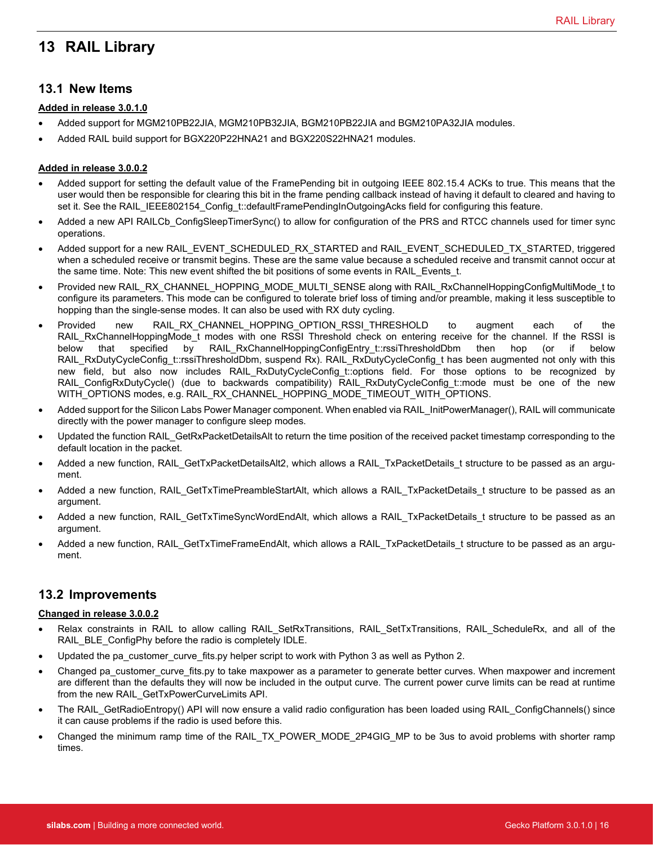# <span id="page-16-0"></span>**13 RAIL Library**

### **13.1 New Items**

#### **Added in release 3.0.1.0**

- Added support for MGM210PB22JIA, MGM210PB32JIA, BGM210PB22JIA and BGM210PA32JIA modules.
- Added RAIL build support for BGX220P22HNA21 and BGX220S22HNA21 modules.

#### **Added in release 3.0.0.2**

- Added support for setting the default value of the FramePending bit in outgoing IEEE 802.15.4 ACKs to true. This means that the user would then be responsible for clearing this bit in the frame pending callback instead of having it default to cleared and having to set it. See the RAIL\_IEEE802154\_Config\_t::defaultFramePendingInOutgoingAcks field for configuring this feature.
- Added a new API RAILCb ConfigSleepTimerSync() to allow for configuration of the PRS and RTCC channels used for timer sync operations.
- Added support for a new RAIL\_EVENT\_SCHEDULED\_RX\_STARTED and RAIL\_EVENT\_SCHEDULED\_TX\_STARTED, triggered when a scheduled receive or transmit begins. These are the same value because a scheduled receive and transmit cannot occur at the same time. Note: This new event shifted the bit positions of some events in RAIL Events t.
- Provided new RAIL\_RX\_CHANNEL\_HOPPING\_MODE\_MULTI\_SENSE along with RAIL\_RxChannelHoppingConfigMultiMode\_t to configure its parameters. This mode can be configured to tolerate brief loss of timing and/or preamble, making it less susceptible to hopping than the single-sense modes. It can also be used with RX duty cycling.
- Provided new RAIL\_RX\_CHANNEL\_HOPPING\_OPTION\_RSSI\_THRESHOLD to augment each of the RAIL\_RxChannelHoppingMode\_t modes\_with\_one\_RSSI\_Threshold check on entering receive\_for\_the\_channel. If the RSSI is below that specified by RAIL\_RxChannelHoppingConfigEntry\_t::rssiThresholdDbm then hop (or if below RAIL\_RxDutyCycleConfig\_t::rssiThresholdDbm, suspend Rx). RAIL\_RxDutyCycleConfig\_t has been augmented not only with this new field, but also now includes RAIL RxDutyCycleConfig t::options field. For those options to be recognized by RAIL\_ConfigRxDutyCycle() (due to backwards compatibility) RAIL\_RxDutyCycleConfig\_t::mode must be one of the new WITH\_OPTIONS modes, e.g. RAIL\_RX\_CHANNEL\_HOPPING\_MODE\_TIMEOUT\_WITH\_OPTIONS.
- Added support for the Silicon Labs Power Manager component. When enabled via RAIL\_InitPowerManager(), RAIL will communicate directly with the power manager to configure sleep modes.
- Updated the function RAIL\_GetRxPacketDetailsAlt to return the time position of the received packet timestamp corresponding to the default location in the packet.
- Added a new function, RAIL\_GetTxPacketDetailsAlt2, which allows a RAIL\_TxPacketDetails\_t structure to be passed as an argument.
- Added a new function, RAIL\_GetTxTimePreambleStartAlt, which allows a RAIL\_TxPacketDetails\_t structure to be passed as an argument.
- Added a new function, RAIL\_GetTxTimeSyncWordEndAlt, which allows a RAIL\_TxPacketDetails\_t structure to be passed as an argument.
- Added a new function, RAIL\_GetTxTimeFrameEndAlt, which allows a RAIL\_TxPacketDetails\_t structure to be passed as an argument.

## **13.2 Improvements**

#### **Changed in release 3.0.0.2**

- Relax constraints in RAIL to allow calling RAIL\_SetRxTransitions, RAIL\_SetTxTransitions, RAIL\_ScheduleRx, and all of the RAIL\_BLE\_ConfigPhy before the radio is completely IDLE.
- Updated the pa\_customer\_curve\_fits.py helper script to work with Python 3 as well as Python 2.
- Changed pa\_customer\_curve\_fits.py to take maxpower as a parameter to generate better curves. When maxpower and increment are different than the defaults they will now be included in the output curve. The current power curve limits can be read at runtime from the new RAIL\_GetTxPowerCurveLimits API.
- The RAIL\_GetRadioEntropy() API will now ensure a valid radio configuration has been loaded using RAIL\_ConfigChannels() since it can cause problems if the radio is used before this.
- Changed the minimum ramp time of the RAIL\_TX\_POWER\_MODE\_2P4GIG\_MP to be 3us to avoid problems with shorter ramp times.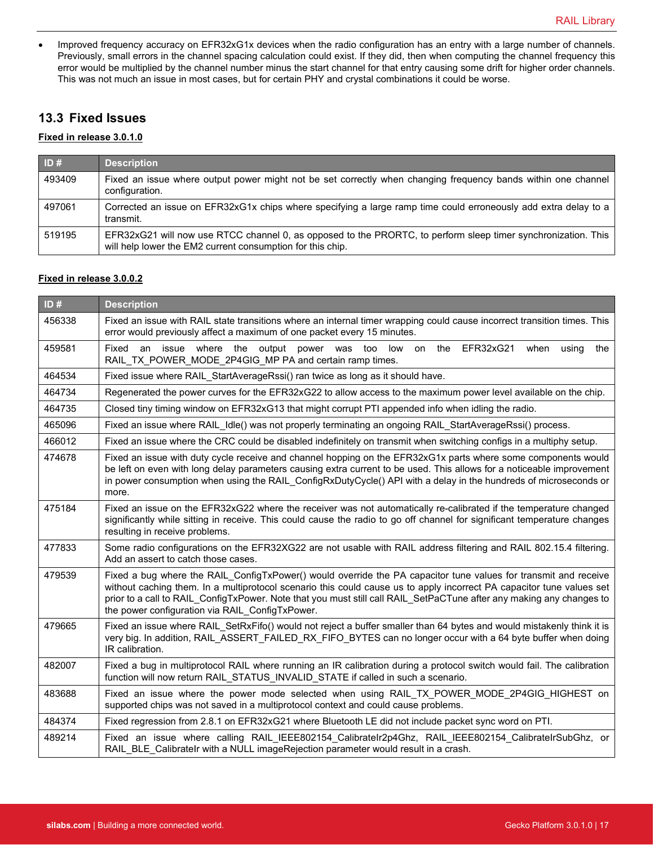• Improved frequency accuracy on EFR32xG1x devices when the radio configuration has an entry with a large number of channels. Previously, small errors in the channel spacing calculation could exist. If they did, then when computing the channel frequency this error would be multiplied by the channel number minus the start channel for that entry causing some drift for higher order channels. This was not much an issue in most cases, but for certain PHY and crystal combinations it could be worse.

## **13.3 Fixed Issues**

#### **Fixed in release 3.0.1.0**

| ID#    | <b>Description</b>                                                                                                                                                          |
|--------|-----------------------------------------------------------------------------------------------------------------------------------------------------------------------------|
| 493409 | Fixed an issue where output power might not be set correctly when changing frequency bands within one channel<br>configuration.                                             |
| 497061 | Corrected an issue on EFR32xG1x chips where specifying a large ramp time could erroneously add extra delay to a<br>transmit.                                                |
| 519195 | EFR32xG21 will now use RTCC channel 0, as opposed to the PRORTC, to perform sleep timer synchronization. This<br>will help lower the EM2 current consumption for this chip. |

#### **Fixed in release 3.0.0.2**

| ID#    | <b>Description</b>                                                                                                                                                                                                                                                                                                                                                                                                  |
|--------|---------------------------------------------------------------------------------------------------------------------------------------------------------------------------------------------------------------------------------------------------------------------------------------------------------------------------------------------------------------------------------------------------------------------|
| 456338 | Fixed an issue with RAIL state transitions where an internal timer wrapping could cause incorrect transition times. This<br>error would previously affect a maximum of one packet every 15 minutes.                                                                                                                                                                                                                 |
| 459581 | Fixed<br>an issue where the output power was too low on the EFR32xG21<br>when<br>using<br>the<br>RAIL TX POWER MODE 2P4GIG MP PA and certain ramp times.                                                                                                                                                                                                                                                            |
| 464534 | Fixed issue where RAIL_StartAverageRssi() ran twice as long as it should have.                                                                                                                                                                                                                                                                                                                                      |
| 464734 | Regenerated the power curves for the EFR32xG22 to allow access to the maximum power level available on the chip.                                                                                                                                                                                                                                                                                                    |
| 464735 | Closed tiny timing window on EFR32xG13 that might corrupt PTI appended info when idling the radio.                                                                                                                                                                                                                                                                                                                  |
| 465096 | Fixed an issue where RAIL Idle() was not properly terminating an ongoing RAIL StartAverageRssi() process.                                                                                                                                                                                                                                                                                                           |
| 466012 | Fixed an issue where the CRC could be disabled indefinitely on transmit when switching configs in a multiphy setup.                                                                                                                                                                                                                                                                                                 |
| 474678 | Fixed an issue with duty cycle receive and channel hopping on the EFR32xG1x parts where some components would<br>be left on even with long delay parameters causing extra current to be used. This allows for a noticeable improvement<br>in power consumption when using the RAIL_ConfigRxDutyCycle() API with a delay in the hundreds of microseconds or<br>more.                                                 |
| 475184 | Fixed an issue on the EFR32xG22 where the receiver was not automatically re-calibrated if the temperature changed<br>significantly while sitting in receive. This could cause the radio to go off channel for significant temperature changes<br>resulting in receive problems.                                                                                                                                     |
| 477833 | Some radio configurations on the EFR32XG22 are not usable with RAIL address filtering and RAIL 802.15.4 filtering.<br>Add an assert to catch those cases.                                                                                                                                                                                                                                                           |
| 479539 | Fixed a bug where the RAIL ConfigTxPower() would override the PA capacitor tune values for transmit and receive<br>without caching them. In a multiprotocol scenario this could cause us to apply incorrect PA capacitor tune values set<br>prior to a call to RAIL_ConfigTxPower. Note that you must still call RAIL_SetPaCTune after any making any changes to<br>the power configuration via RAIL ConfigTxPower. |
| 479665 | Fixed an issue where RAIL SetRxFifo() would not reject a buffer smaller than 64 bytes and would mistakenly think it is<br>very big. In addition, RAIL_ASSERT_FAILED_RX_FIFO_BYTES can no longer occur with a 64 byte buffer when doing<br>IR calibration.                                                                                                                                                           |
| 482007 | Fixed a bug in multiprotocol RAIL where running an IR calibration during a protocol switch would fail. The calibration<br>function will now return RAIL_STATUS_INVALID_STATE if called in such a scenario.                                                                                                                                                                                                          |
| 483688 | Fixed an issue where the power mode selected when using RAIL TX POWER MODE 2P4GIG HIGHEST on<br>supported chips was not saved in a multiprotocol context and could cause problems.                                                                                                                                                                                                                                  |
| 484374 | Fixed regression from 2.8.1 on EFR32xG21 where Bluetooth LE did not include packet sync word on PTI.                                                                                                                                                                                                                                                                                                                |
| 489214 | Fixed an issue where calling RAIL IEEE802154 CalibrateIr2p4Ghz, RAIL IEEE802154 CalibrateIrSubGhz, or<br>RAIL BLE Calibratelr with a NULL imageRejection parameter would result in a crash.                                                                                                                                                                                                                         |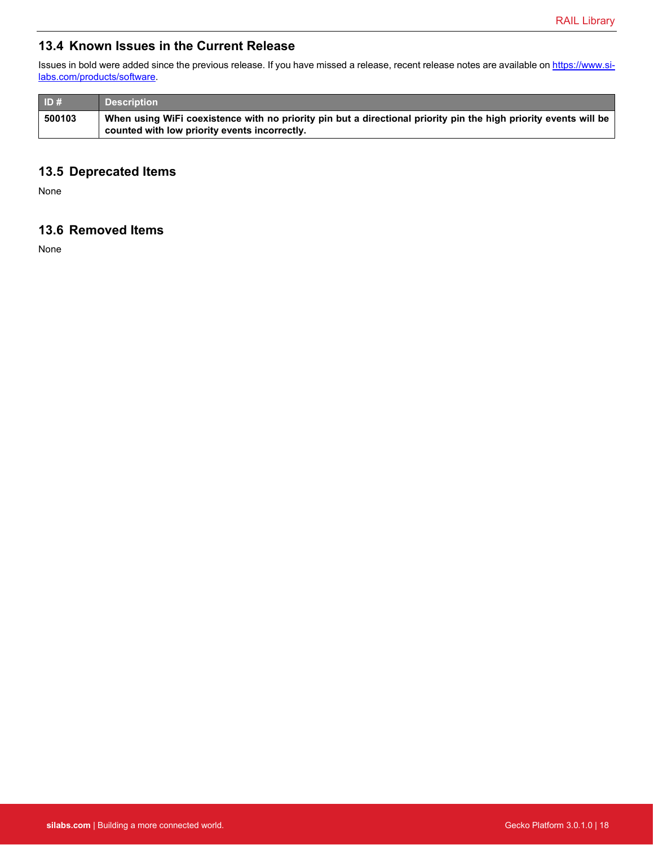## **13.4 Known Issues in the Current Release**

Issues in bold were added since the previous release. If you have missed a release, recent release notes are available o[n https://www.si](https://www.silabs.com/products/software)[labs.com/products/software.](https://www.silabs.com/products/software)

| ID#    | <b>Description</b>                                                                                                                                                |
|--------|-------------------------------------------------------------------------------------------------------------------------------------------------------------------|
| 500103 | When using WiFi coexistence with no priority pin but a directional priority pin the high priority events will be<br>counted with low priority events incorrectly. |

## **13.5 Deprecated Items**

None

## **13.6 Removed Items**